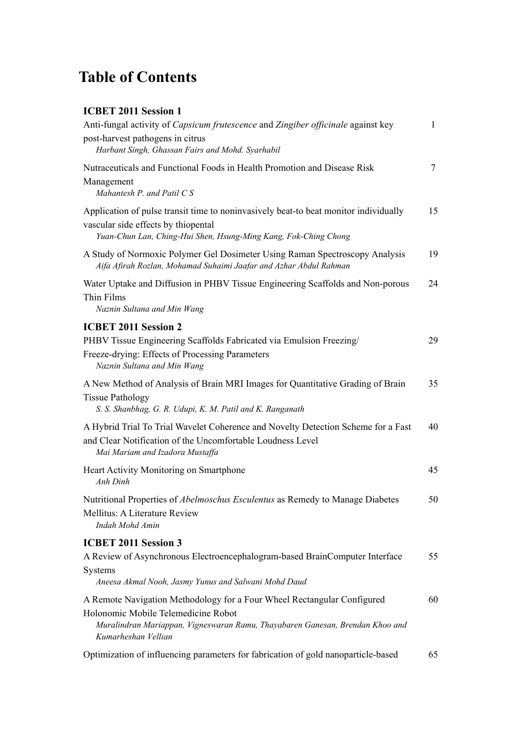## **Table of Contents**

| <b>ICBET 2011 Session 1</b>                                                                                                                                                                    |              |
|------------------------------------------------------------------------------------------------------------------------------------------------------------------------------------------------|--------------|
| Anti-fungal activity of Capsicum frutescence and Zingiber officinale against key                                                                                                               | $\mathbf{1}$ |
| post-harvest pathogens in citrus                                                                                                                                                               |              |
| Harbant Singh, Ghassan Fairs and Mohd. Syarhabil                                                                                                                                               |              |
| Nutraceuticals and Functional Foods in Health Promotion and Disease Risk                                                                                                                       | 7            |
| Management                                                                                                                                                                                     |              |
| Mahantesh P. and Patil C S                                                                                                                                                                     |              |
| Application of pulse transit time to noninvasively beat-to beat monitor individually<br>vascular side effects by thiopental<br>Yuan-Chun Lan, Ching-Hui Shen, Hsung-Ming Kang, Fok-Ching Chong | 15           |
| A Study of Normoxic Polymer Gel Dosimeter Using Raman Spectroscopy Analysis<br>Aifa Afirah Rozlan, Mohamad Suhaimi Jaafar and Azhar Abdul Rahman                                               | 19           |
| Water Uptake and Diffusion in PHBV Tissue Engineering Scaffolds and Non-porous<br>Thin Films                                                                                                   | 24           |
| Naznin Sultana and Min Wang                                                                                                                                                                    |              |
| <b>ICBET 2011 Session 2</b>                                                                                                                                                                    |              |
| PHBV Tissue Engineering Scaffolds Fabricated via Emulsion Freezing/                                                                                                                            | 29           |
| Freeze-drying: Effects of Processing Parameters<br>Naznin Sultana and Min Wang                                                                                                                 |              |
| A New Method of Analysis of Brain MRI Images for Quantitative Grading of Brain                                                                                                                 | 35           |
| <b>Tissue Pathology</b><br>S. S. Shanbhag, G. R. Udupi, K. M. Patil and K. Ranganath                                                                                                           |              |
| A Hybrid Trial To Trial Wavelet Coherence and Novelty Detection Scheme for a Fast                                                                                                              | 40           |
| and Clear Notification of the Uncomfortable Loudness Level<br>Mai Mariam and Izadora Mustaffa                                                                                                  |              |
| Heart Activity Monitoring on Smartphone<br>Anh Dinh                                                                                                                                            | 45           |
| Nutritional Properties of <i>Abelmoschus Esculentus</i> as Remedy to Manage Diabetes                                                                                                           | 50           |
| <b>Mellitus: A Literature Review</b><br>Indah Mohd Amin                                                                                                                                        |              |
| <b>ICBET 2011 Session 3</b>                                                                                                                                                                    |              |
| A Review of Asynchronous Electroencephalogram-based BrainComputer Interface                                                                                                                    | 55           |
| Systems<br>Aneesa Akmal Nooh, Jasmy Yunus and Salwani Mohd Daud                                                                                                                                |              |
| A Remote Navigation Methodology for a Four Wheel Rectangular Configured                                                                                                                        | 60           |
| Holonomic Mobile Telemedicine Robot                                                                                                                                                            |              |
| Muralindran Mariappan, Vigneswaran Ramu, Thayabaren Ganesan, Brendan Khoo and<br>Kumarheshan Vellian                                                                                           |              |
| Optimization of influencing parameters for fabrication of gold nanoparticle-based                                                                                                              | 65           |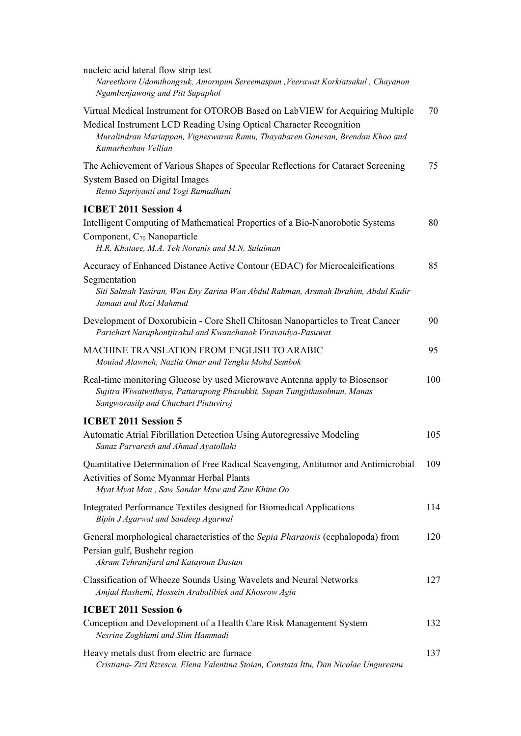| nucleic acid lateral flow strip test<br>Nareethorn Udomthongsuk, Amornpun Sereemaspun , Veerawat Korkiatsakul , Chayanon<br>Ngambenjawong and Pitt Supaphol                                                                                                 |     |
|-------------------------------------------------------------------------------------------------------------------------------------------------------------------------------------------------------------------------------------------------------------|-----|
| Virtual Medical Instrument for OTOROB Based on LabVIEW for Acquiring Multiple<br>Medical Instrument LCD Reading Using Optical Character Recognition<br>Muralindran Mariappan, Vigneswaran Ramu, Thayabaren Ganesan, Brendan Khoo and<br>Kumarheshan Vellian | 70  |
| The Achievement of Various Shapes of Specular Reflections for Cataract Screening<br>System Based on Digital Images<br>Retno Supriyanti and Yogi Ramadhani                                                                                                   | 75  |
| <b>ICBET 2011 Session 4</b>                                                                                                                                                                                                                                 |     |
| Intelligent Computing of Mathematical Properties of a Bio-Nanorobotic Systems<br>Component, $C_{70}$ Nanoparticle<br>H.R. Khataee, M.A. Teh Noranis and M.N. Sulaiman                                                                                       | 80  |
| Accuracy of Enhanced Distance Active Contour (EDAC) for Microcalcifications<br>Segmentation                                                                                                                                                                 | 85  |
| Siti Salmah Yasiran, Wan Eny Zarina Wan Abdul Rahman, Arsmah Ibrahim, Abdul Kadir<br>Jumaat and Rozi Mahmud                                                                                                                                                 |     |
| Development of Doxorubicin - Core Shell Chitosan Nanoparticles to Treat Cancer<br>Parichart Naruphontjirakul and Kwanchanok Viravaidya-Pasuwat                                                                                                              | 90  |
| MACHINE TRANSLATION FROM ENGLISH TO ARABIC<br>Mouiad Alawneh, Nazlia Omar and Tengku Mohd Sembok                                                                                                                                                            | 95  |
| Real-time monitoring Glucose by used Microwave Antenna apply to Biosensor<br>Sujitra Wiwatwithaya, Pattarapong Phasukkit, Supan Tungjitkusolmun, Manas<br>Sangworasilp and Chuchart Pintuviroj                                                              | 100 |
| <b>ICBET 2011 Session 5</b>                                                                                                                                                                                                                                 |     |
| Automatic Atrial Fibrillation Detection Using Autoregressive Modeling<br>Sanaz Parvaresh and Ahmad Ayatollahi                                                                                                                                               | 105 |
| Quantitative Determination of Free Radical Scavenging, Antitumor and Antimicrobial<br>Activities of Some Myanmar Herbal Plants<br>Myat Myat Mon, Saw Sandar Maw and Zaw Khine Oo                                                                            | 109 |
| Integrated Performance Textiles designed for Biomedical Applications<br>Bipin J Agarwal and Sandeep Agarwal                                                                                                                                                 | 114 |
| General morphological characteristics of the Sepia Pharaonis (cephalopoda) from<br>Persian gulf, Bushehr region<br>Akram Tehranifard and Katayoun Dastan                                                                                                    | 120 |
| Classification of Wheeze Sounds Using Wavelets and Neural Networks<br>Amjad Hashemi, Hossein Arabalibiek and Khosrow Agin                                                                                                                                   | 127 |
| <b>ICBET 2011 Session 6</b>                                                                                                                                                                                                                                 |     |
| Conception and Development of a Health Care Risk Management System<br>Nesrine Zoghlami and Slim Hammadi                                                                                                                                                     | 132 |
| Heavy metals dust from electric arc furnace<br>Cristiana- Zizi Rizescu, Elena Valentina Stoian, Constata Ittu, Dan Nicolae Ungureanu                                                                                                                        | 137 |